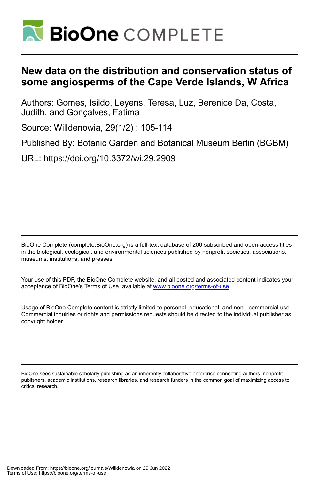

# **New data on the distribution and conservation status of some angiosperms of the Cape Verde Islands, W Africa**

Authors: Gomes, Isildo, Leyens, Teresa, Luz, Berenice Da, Costa, Judith, and Gonçalves, Fatima

Source: Willdenowia, 29(1/2) : 105-114

Published By: Botanic Garden and Botanical Museum Berlin (BGBM)

URL: https://doi.org/10.3372/wi.29.2909

BioOne Complete (complete.BioOne.org) is a full-text database of 200 subscribed and open-access titles in the biological, ecological, and environmental sciences published by nonprofit societies, associations, museums, institutions, and presses.

Your use of this PDF, the BioOne Complete website, and all posted and associated content indicates your acceptance of BioOne's Terms of Use, available at www.bioone.org/terms-of-use.

Usage of BioOne Complete content is strictly limited to personal, educational, and non - commercial use. Commercial inquiries or rights and permissions requests should be directed to the individual publisher as copyright holder.

BioOne sees sustainable scholarly publishing as an inherently collaborative enterprise connecting authors, nonprofit publishers, academic institutions, research libraries, and research funders in the common goal of maximizing access to critical research.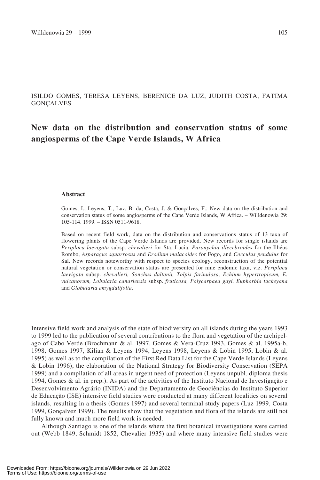ISILDO GOMES, TERESA LEYENS, BERENICE DA LUZ, JUDITH COSTA, FATIMA **GONCALVES** 

## **New data on the distribution and conservation status of some angiosperms of the Cape Verde Islands, W Africa**

#### **Abstract**

Gomes, I., Leyens, T., Luz, B. da, Costa, J. & Gonçalves, F.: New data on the distribution and conservation status of some angiosperms of the Cape Verde Islands, W Africa. – Willdenowia 29: 105-114. 1999. – ISSN 0511-9618.

Based on recent field work, data on the distribution and conservations status of 13 taxa of flowering plants of the Cape Verde Islands are provided. New records for single islands are *Periploca laevigata* subsp. *chevalieri* for Sta. Lucia, *Paronychia illecebroides* for the Ilhéus Rombo, *Asparagus squarrosus* and *Erodium malacoides* for Fogo, and *Cocculus pendulus* for Sal. New records noteworthy with respect to species ecology, reconstruction of the potential natural vegetation or conservation status are presented for nine endemic taxa, viz. *Periploca laevigata* subsp. *chevalieri, Sonchus daltonii, Tolpis farinulosa, Echium hypertropicum, E. vulcanorum, Lobularia canariensis* subsp. *fruticosa, Polycarpaea gayi, Euphorbia tuckeyana* and *Globularia amygdalifolia*.

Intensive field work and analysis of the state of biodiversity on all islands during the years 1993 to 1999 led to the publication of several contributions to the flora and vegetation of the archipelago of Cabo Verde (Brochmann & al. 1997, Gomes & Vera-Cruz 1993, Gomes & al. 1995a-b, 1998, Gomes 1997, Kilian & Leyens 1994, Leyens 1998, Leyens & Lobin 1995, Lobin & al. 1995) as well as to the compilation of the First Red Data List for the Cape Verde Islands (Leyens & Lobin 1996), the elaboration of the National Strategy for Biodiversity Conservation (SEPA 1999) and a compilation of all areas in urgent need of protection (Leyens unpubl. diploma thesis 1994, Gomes & al. in prep.). As part of the activities of the Instituto Nacional de Investigação e Desenvolvimento Agrário (INIDA) and the Departamento de Geociências do Instituto Superior de Educação (ISE) intensive field studies were conducted at many different localities on several islands, resulting in a thesis (Gomes 1997) and several terminal study papers (Luz 1999, Costa 1999, Gonçalvez 1999). The results show that the vegetation and flora of the islands are still not fully known and much more field work is needed.

Although Santiago is one of the islands where the first botanical investigations were carried out (Webb 1849, Schmidt 1852, Chevalier 1935) and where many intensive field studies were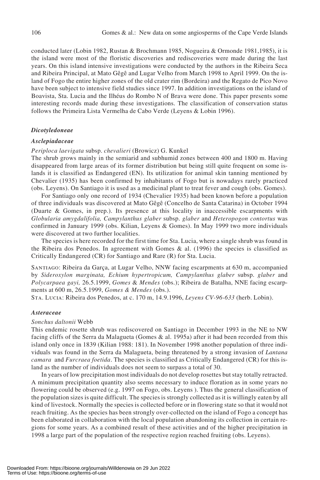conducted later (Lobin 1982, Rustan & Brochmann 1985, Nogueira & Ormonde 1981,1985), it is the island were most of the floristic discoveries and rediscoveries were made during the last years. On this island intensive investigations were conducted by the authors in the Ribeira Seca and Ribeira Principal, at Mato Gêgê and Lugar Velho from March 1998 to April 1999. On the island of Fogo the entire higher zones of the old crater rim (Bordeira) and the Regato de Pico Novo have been subject to intensive field studies since 1997. In addition investigations on the island of Boavista, Sta. Lucia and the Ilhéus do Rombo N of Brava were done. This paper presents some interesting records made during these investigations. The classification of conservation status follows the Primeira Lista Vermelha de Cabo Verde (Leyens & Lobin 1996).

## *Dicotyledoneae*

## *Asclepiadaceae*

#### *Periploca laevigata* subsp. *chevalieri* (Browicz) G. Kunkel

The shrub grows mainly in the semiarid and subhumid zones between 400 and 1800 m. Having disappeared from large areas of its former distribution but being still quite frequent on some islands it is classified as Endangered (EN). Its utilization for animal skin tanning mentioned by Chevalier (1935) has been confirmed by inhabitants of Fogo but is nowadays rarely practiced (obs. Leyens). On Santiago it is used as a medicinal plant to treat fever and cough (obs. Gomes).

For Santiago only one record of 1934 (Chevalier 1935) had been known before a population of three individuals was discovered at Mato Gêgê (Concelho de Santa Catarina) in October 1994 (Duarte & Gomes, in prep.). Its presence at this locality in inaccessible escarpments with *Globularia amygdalifolia, Campylanthus glaber* subsp. *glaber* and *Heteropogon contortus* was confirmed in January 1999 (obs. Kilian, Leyens & Gomes). In May 1999 two more individuals were discovered at two further localities.

The species is here recorded for the first time for Sta. Lucia, where a single shrub was found in the Ribeira dos Penedos. In agreement with Gomes  $\&$  al. (1996) the species is classified as Critically Endangered (CR) for Santiago and Rare (R) for Sta. Lucia.

Santiago: Ribeira da Garça, at Lugar Velho, NNW facing escarpments at 630 m, accompanied by *Sideroxylon marginata, Echium hypertropicum, Campylanthus glaber* subsp. *glaber* and *Polycarpaea gayi,* 26.5.1999, *Gomes* & *Mendes* (obs.); Ribeira de Batalha, NNE facing escarpments at 600 m, 26.5.1999, *Gomes & Mendes* (obs.).

Sta. Lucia: Ribeira dos Penedos, at c. 170 m, 14.9.1996, *Leyens CV-96-633* (herb. Lobin).

## *Asteraceae*

#### *Sonchus daltonii* Webb

This endemic rosette shrub was rediscovered on Santiago in December 1993 in the NE to NW facing cliffs of the Serra da Malagueta (Gomes  $\&$  al. 1995a) after it had been recorded from this island only once in 1839 (Kilian 1988: 181). In November 1998 another population of three individuals was found in the Serra da Malagueta, being threatened by a strong invasion of *Lantana camara* and *Furcraea foetida*. The species is classified as Critically Endangered (CR) for this island as the number of individuals does not seem to surpass a total of 30.

In years of low precipitation most individuals do not develop rosettes but stay totally retracted. A minimum precipitation quantity also seems necessary to induce floration as in some years no flowering could be observed (e.g. 1997 on Fogo, obs. Leyens ). Thus the general classification of the population sizes is quite difficult. The species is strongly collected as it is willingly eaten by all kind of livestock. Normally the species is collected before or in flowering state so that it would not reach fruiting. As the species has been strongly over-collected on the island of Fogo a concept has been elaborated in collaboration with the local population abandoning its collection in certain regions for some years. As a combined result of these activities and of the higher precipitation in 1998 a large part of the population of the respective region reached fruiting (obs. Leyens).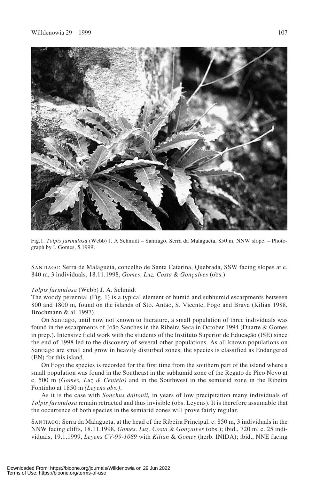

Fig.1. *Tolpis farinulosa* (Webb) J. A Schmidt – Santiago, Serra da Malagueta, 850 m, NNW slope. – Photograph by I. Gomes, 5.1999.

Santiago: Serra de Malagueta, concelho de Santa Catarina, Quebrada, SSW facing slopes at c. 840 m, 3 individuals, 18.11.1998, *Gomes, Luz, Costa* & *Gonçalves* (obs.).

#### *Tolpis farinulosa* (Webb) J. A. Schmidt

The woody perennial (Fig. 1) is a typical element of humid and subhumid escarpments between 800 and 1800 m, found on the islands of Sto. Antão, S. Vicente, Fogo and Brava (Kilian 1988, Brochmann & al. 1997).

On Santiago, until now not known to literature, a small population of three individuals was found in the escarpments of João Sanches in the Ribeira Seca in October 1994 (Duarte & Gomes in prep.). Intensive field work with the students of the Instituto Superior de Educação (ISE) since the end of 1998 led to the discovery of several other populations. As all known populations on Santiago are small and grow in heavily disturbed zones, the species is classified as Endangered (EN) for this island.

On Fogo the species is recorded for the first time from the southern part of the island where a small population was found in the Southeast in the subhumid zone of the Regato de Pico Novo at c. 500 m *(Gomes, Luz & Centeio)* and in the Southwest in the semiarid zone in the Ribeira Fontinho at 1850 m *(Leyens obs.)*.

As it is the case with *Sonchus daltonii,* in years of low precipitation many individuals of *Tolpis farinulosa* remain retracted and thus invisible (obs. Leyens). It is therefore assumable that the occurrence of both species in the semiarid zones will prove fairly regular.

Santiago: Serra da Malagueta, at the head of the Ribeira Principal, c. 850 m, 3 individuals in the NNW facing cliffs, 18.11.1998, *Gomes, Luz, Costa* & *Gonçalves* (obs.); ibid., 720 m, c. 25 individuals, 19.1.1999, *Leyens CV-99-1089* with *Kilian* & *Gomes* (herb. INIDA); ibid., NNE facing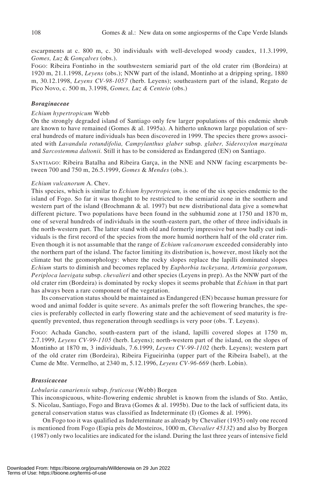escarpments at c. 800 m, c. 30 individuals with well-developed woody caudex, 11.3.1999, *Gomes, Luz* & *Gonçalves* (obs.).

Fogo: Ribeira Fontinho in the southwestern semiarid part of the old crater rim (Bordeira) at 1920 m, 21.1.1998, *Leyens* (obs.); NNW part of the island, Montinho at a dripping spring, 1880 m, 30.12.1998, *Leyens CV-98-1057* (herb. Leyens); southeastern part of the island, Regato de Pico Novo, c. 500 m, 3.1998, *Gomes, Luz & Centeio* (obs.)

## *Boraginaceae*

#### *Echium hypertropicum* Webb

On the strongly degraded island of Santiago only few larger populations of this endemic shrub are known to have remained (Gomes & al. 1995a). A hitherto unknown large population of several hundreds of mature individuals has been discovered in 1999. The species there grows associated with *Lavandula rotundifolia, Campylanthus glaber* subsp. *glaber, Sideroxylon marginata* and *Sarcostemma daltonii.* Still it has to be considered as Endangered (EN) on Santiago.

Santiago: Ribeira Batalha and Ribeira Garça, in the NNE and NNW facing escarpments between 700 and 750 m, 26.5.1999, *Gomes* & *Mendes* (obs.).

#### *Echium vulcanorum* A. Chev.

This species, which is similar to *Echium hypertropicum,* is one of the six species endemic to the island of Fogo. So far it was thought to be restricted to the semiarid zone in the southern and western part of the island (Brochmann  $\&$  al. 1997) but new distributional data give a somewhat different picture. Two populations have been found in the subhumid zone at 1750 and 1870 m, one of several hundreds of individuals in the south-eastern part, the other of three individuals in the north-western part. The latter stand with old and formerly impressive but now badly cut individuals is the first record of the species from the more humid northern half of the old crater rim. Even though it is not assumable that the range of *Echium vulcanorum* exceeded considerably into the northern part of the island. The factor limiting its distribution is, however, most likely not the climate but the geomorphology: where the rocky slopes replace the lapilli dominated slopes *Echium* starts to diminish and becomes replaced by *Euphorbia tuckeyana, Artemisia gorgonum, Periploca laevigata* subsp. *chevalieri* and other species (Leyens in prep). As the NNW part of the old crater rim (Bordeira) is dominated by rocky slopes it seems probable that *Echium* in that part has always been a rare component of the vegetation.

Its conservation status should be maintained as Endangered (EN) because human pressure for wood and animal fodder is quite severe. As animals prefer the soft flowering branches, the species is preferably collected in early flowering state and the achievement of seed maturity is frequently prevented, thus regeneration through seedlings is very poor (obs. T. Leyens).

Fogo: Achada Gancho, south-eastern part of the island, lapilli covered slopes at 1750 m, 2.7.1999, *Leyens CV-99-1105* (herb. Leyens); north-western part of the island, on the slopes of Montinho at 1870 m, 3 individuals, 7.6.1999, *Leyens CV-99-1102* (herb. Leyens); western part of the old crater rim (Bordeira), Ribeira Figueirinha (upper part of the Ribeira Isabel), at the Cume de Mte. Vermelho, at 2340 m, 5.12.1996, *Leyens CV-96-669* (herb. Lobin).

## *Brassicaceae*

#### *Lobularia canariensis* subsp. *fruticosa* (Webb) Borgen

This inconspicuous, white-flowering endemic shrublet is known from the islands of Sto. Antão, S. Nicolau, Santiago, Fogo and Brava (Gomes & al. 1995b). Due to the lack of sufficient data, its general conservation status was classified as Indeterminate (I) (Gomes & al. 1996).

On Fogo too it was qualified as Indeterminate as already by Chevalier (1935) only one record is mentioned from Fogo (Espia près de Mosteiros, 1000 m, *Chevalier 45132*) and also by Borgen (1987) only two localities are indicated for the island. During the last three years of intensive field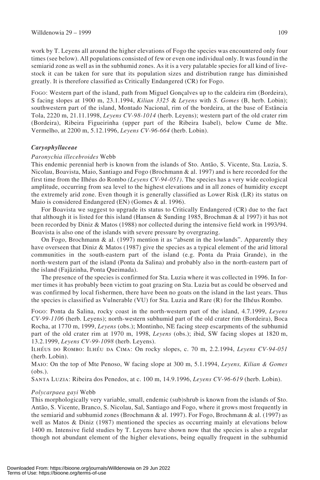work by T. Leyens all around the higher elevations of Fogo the species was encountered only four times (see below). All populations consisted of few or even one individual only. It was found in the semiarid zone as well as in the subhumid zones. As it is a very palatable species for all kind of livestock it can be taken for sure that its population sizes and distribution range has diminished greatly. It is therefore classified as Critically Endangered (CR) for Fogo.

Fogo: Western part of the island, path from Miguel Gonçalves up to the caldeira rim (Bordeira), S facing slopes at 1900 m, 23.1.1994, *Kilian 3325* & *Leyens* with *S. Gomes* (B, herb. Lobin); southwestern part of the island, Montado Nacional, rim of the bordeira, at the base of Estância Tola, 2220 m, 21.11.1998, *Leyens CV-98-1014* (herb. Leyens); western part of the old crater rim (Bordeira), Ribeira Figueirinha (upper part of the Ribeira Isabel), below Cume de Mte. Vermelho, at 2200 m, 5.12.1996, *Leyens CV-96-664* (herb. Lobin).

## *Caryophyllaceae*

## *Paronychia illecebroides* Webb

This endemic perennial herb is known from the islands of Sto. Antão, S. Vicente, Sta. Luzia, S. Nicolau, Boavista, Maio, Santiago and Fogo (Brochmann & al. 1997) and is here recorded for the first time from the Ilhéus do Rombo *(Leyens CV-94-051)*. The species has a very wide ecological amplitude, occurring from sea level to the highest elevations and in all zones of humidity except the extremely arid zone. Even though it is generally classified as Lower Risk (LR) its status on Maio is considered Endangered (EN) (Gomes & al. 1996).

For Boavista we suggest to upgrade its status to Critically Endangered (CR) due to the fact that although it is listed for this island (Hansen & Sunding 1985, Brochman & al 1997) it has not been recorded by Diniz & Matos (1988) nor collected during the intensive field work in 1993/94. Boavista is also one of the islands with severe pressure by overgrazing.

On Fogo, Brochmann & al.  $(1997)$  mention it as "absent in the lowlands". Apparently they have overseen that Diniz & Matos (1987) give the species as a typical element of the arid littoral communities in the south-eastern part of the island (e.g. Ponta da Praia Grande), in the north-western part of the island (Ponta da Salina) and probably also in the north-eastern part of the island (Fajãzinha, Ponta Queimada).

The presence of the species is confirmed for Sta. Luzia where it was collected in 1996. In former times it has probably been victim to goat grazing on Sta. Luzia but as could be observed and was confirmed by local fishermen, there have been no goats on the island in the last years. Thus the species is classified as Vulnerable (VU) for Sta. Luzia and Rare (R) for the Ilhéus Rombo.

Fogo: Ponta da Salina, rocky coast in the north-western part of the island, 4.7.1999, *Leyens CV-99-1106* (herb. Leyens); north-western subhumid part of the old crater rim (Bordeira), Boca Rocha, at 1770 m, 1999, *Leyens* (obs.); Montinho, NE facing steep escarpments of the subhumid part of the old crater rim at 1970 m, 1998, *Leyens* (obs.); ibid, SW facing slopes at 1820 m, 13.2.1999, *Leyens CV-99-1098* (herb. Leyens).

Ilhéus do Rombo: Ilhéu da Cima: On rocky slopes, c. 70 m, 2.2.1994, *Leyens CV-94-051* (herb. Lobin).

Maio: On the top of Mte Penoso, W facing slope at 300 m, 5.1.1994, *Leyens, Kilian & Gomes*  $(obs.)$ .

Santa Luzia: Ribeira dos Penedos, at c. 100 m, 14.9.1996, *Leyens CV-96-619* (herb. Lobin).

## *Polycarpaea gayi* Webb

This morphologically very variable, small, endemic (sub)shrub is known from the islands of Sto. Antão, S. Vicente, Branco, S. Nicolau, Sal, Santiago and Fogo, where it grows most frequently in the semiarid and subhumid zones (Brochmann & al. 1997). For Fogo, Brochmann & al. (1997) as well as Matos & Diniz (1987) mentioned the species as occurring mainly at elevations below 1400 m. Intensive field studies by T. Leyens have shown now that the species is also a regular though not abundant element of the higher elevations, being equally frequent in the subhumid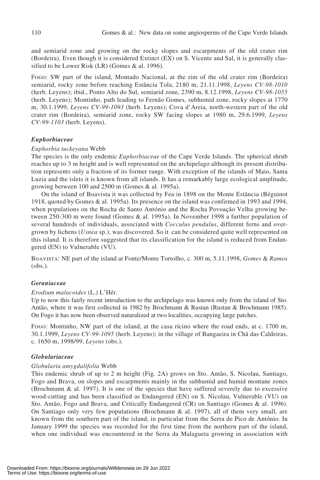and semiarid zone and growing on the rocky slopes and escarpments of the old crater rim (Bordeira). Even though it is considered Extinct (EX) on S. Vicente and Sal, it is generally classified to be Lower Risk (LR) (Gomes & al. 1996).

Fogo: SW part of the island, Montado Nacional, at the rim of the old crater rim (Bordeira) semiarid, rocky zone before reaching Estância Tola, 2180 m, 21.11.1998, *Leyens CV-98-1010* (herb. Leyens); ibid., Ponto Alto do Sul, semiarid zone, 2390 m, 8.12.1998, *Leyens CV-98-1055* (herb. Leyens); Montinho, path leading to Fernão Gomes, subhumid zone, rocky slopes at 1770 m, 30.1.1999, *Leyens CV-99-1093* (herb. Leyens); Cova d'Areia, north-western part of the old crater rim (Bordeira), semiarid zone, rocky SW facing slopes at 1980 m, 29.6.1999, *Leyens CV-99-1103* (herb. Leyens).

## *Euphorbiaceae*

## *Euphorbia tuckeyana* Webb

The species is the only endemic *Euphorbiaceae* of the Cape Verde Islands. The spherical shrub reaches up to 3 m height and is well represented on the archipelago although its present distribution represents only a fraction of its former range. With exception of the islands of Maio, Santa Luzia and the islets it is known from all islands. It has a remarkably large ecological amplitude, growing between 100 and 2500 m (Gomes & al. 1995a).

On the island of Boavista it was collected by Fea in 1898 on the Monte Estância (Béguinot 1918, quoted by Gomes & al. 1995a). Its presence on the island was confirmed in 1993 and 1994, when populations on the Rocha de Santo António and the Rocha Povoação Velha growing between 250-300 m were found (Gomes & al. 1995a). In November 1998 a further population of several hundreds of individuals, associated with *Cocculus pendulus*, different ferns and overgrown by lichens (*Usnea* sp.), was discovered. So it can be considered quite well represented on this island. It is therefore suggested that its classification for the island is reduced from Endangered (EN) to Vulnerable (VU).

Boavista: NE part of the island at Fonte/Monte Tortolho, c. 300 m, 5.11.1998, *Gomes* & *Ramos* (obs.).

## *Geraniaceae*

## *Erodium malacoides* (L.) L'Hér.

Up to now this fairly recent introduction to the archipelago was known only from the island of Sto. Antão, where it was first collected in 1982 by Brochmann & Rustan (Rustan & Brochmann 1985). On Fogo it has now been observed naturalized at two localities, occupying large patches.

Fogo: Montinho, NW part of the island, at the casa rícino where the road ends, at c. 1700 m, 30.1.1999, *Leyens CV-99-1095* (herb. Leyens); in the village of Bangaeira in Chã das Caldeiras, c. 1650 m, 1998/99, *Leyens* (obs.).

## *Globulariaceae*

#### *Globularia amygdalifolia* Webb

This endemic shrub of up to 2 m height (Fig. 2A) grows on Sto. Antão, S. Nicolau, Santiago, Fogo and Brava, on slopes and escarpments mainly in the subhumid and humid montane zones (Brochmann & al. 1997). It is one of the species that have suffered severely due to excessive wood-cutting and has been classified as Endangered (EN) on S. Nicolau, Vulnerable (VU) on Sto. Antão, Fogo and Brava, and Critically Endangered (CR) on Santiago (Gomes & al. 1996). On Santiago only very few populations (Brochmann & al. 1997), all of them very small, are known from the southern part of the island, in particular from the Serra de Pico de António. In January 1999 the species was recorded for the first time from the northern part of the island, when one individual was encountered in the Serra da Malagueta growing in association with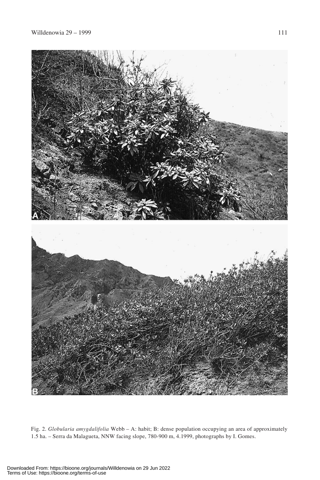

Fig. 2. *Globularia amygdalifolia* Webb – A: habit; B: dense population occupying an area of approximately 1.5 ha. – Serra da Malagueta, NNW facing slope, 780-900 m, 4.1999, photographs by I. Gomes.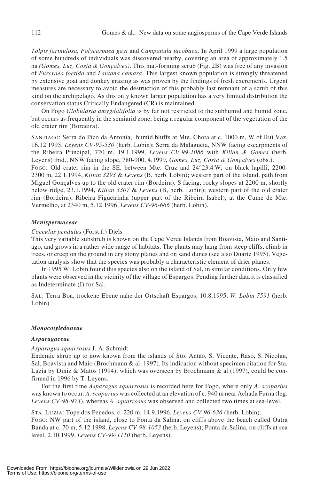*Tolpis farinulosa, Polycarpaea gayi* and *Campanula jacobaea*. In April 1999 a large population of some hundreds of individuals was discovered nearby, covering an area of approximately 1.5 ha *(Gomes, Luz, Costa & Gonçalves)*. This mat-forming scrub (Fig. 2B) was free of any invasion of *Furcraea foetida* and *Lantana camara*. This largest known population is strongly threatened by extensive goat and donkey grazing as was proven by the findings of fresh excrements. Urgent measures are necessary to avoid the destruction of this probably last remnant of a scrub of this kind on the archipelago. As this only known larger population has a very limited distribution the conservation status Critically Endangered (CR) is maintained.

On Fogo *Globularia amygdalifolia* is by far not restricted to the subhumid and humid zone, but occurs as frequently in the semiarid zone, being a regular component of the vegetation of the old crater rim (Bordeira).

Santiago: Serra do Pico da Antonia, humid bluffs at Mte. Chota at c. 1000 m, W of Rui Vaz, 16.12.1995, *Leyens CV-95-530* (herb. Lobin); Serra da Malagueta, NNW facing escarpments of the Ribeira Principal, 720 m, 19.1.1999, *Leyens CV-99-1086* with *Kilian & Gomes* (herb. Leyens) ibid., NNW facing slope, 780-900, 4.1999, *Gomes, Luz, Costa & Gonçalves* (obs.).

Fogo: Old crater rim in the SE, between Mte. Cruz and 24°23.4'W, on black lapilli, 2200- 2300 m, 22.1.1994, *Kilian 3293* & *Leyens* (B, herb. Lobin); western part of the island, path from Miguel Gonçalves up to the old crater rim (Bordeira), S facing, rocky slopes at 2200 m, shortly below ridge, 23.1.1994, *Kilian 3307* & *Leyens* (B, herb. Lobin); western part of the old crater rim (Bordeira), Ribeira Figueirinha (upper part of the Ribeira Isabel), at the Cume de Mte. Vermelho, at 2340 m, 5.12.1996, *Leyens CV-96-666* (herb. Lobin).

#### *Menispermaceae*

#### *Cocculus pendulus* (Forst.f.) Diels

This very variable subshrub is known on the Cape Verde Islands from Boavista, Maio and Santiago, and grows in a rather wide range of habitats. The plants may hang from steep cliffs, climb in trees, or creep on the ground in dry stony planes and on sand dunes (see also Duarte 1995). Vegetation analysis show that the species was probably a characteristic element of drier planes.

In 1995 W. Lobin found this species also on the island of Sal, in similar conditions. Only few plants were observed in the vicinity of the village of Espargos. Pending further data it is classified as Indeterminate (I) for Sal.

Sal: Terra Boa, trockene Ebene nahe der Ortschaft Espargos, 10.8.1995, *W. Lobin 7591* (herb. Lobin).

#### *Monocotyledoneae*

## *Asparagaceae*

#### *Asparagus squarrosus* J. A. Schmidt

Endemic shrub up to now known from the islands of Sto. Antão, S. Vicente, Raso, S. Nicolau, Sal, Boavista and Maio (Brochmann & al. 1997). Its indication without specimen citation for Sta. Luzia by Diniz & Matos (1994), which was overseen by Brochmann & al (1997), could be confirmed in 1996 by T. Leyens.

For the first time *Asparagus squarrosus* is recorded here for Fogo, where only *A. scoparius* was known to occur. *A. scoparius* was collected at an elevation of c. 940 m near Achada Furna (leg. *Leyens CV-98-973*), whereas *A. squarrosus* was observed and collected two times at sea-level.

Sta. Luzia: Tope dos Penedos, c. 220 m, 14.9.1996, *Leyens CV-96-626* (herb. Lobin). Fogo: NW part of the island, close to Ponta da Salina, on cliffs above the beach called Outra Banda at c. 70 m, 5.12.1998, *Leyens CV-98-1053* (herb. Leyens); Ponta da Salina, on cliffs at sea level, 2.10.1999, *Leyens CV-99-1110* (herb. Leyens).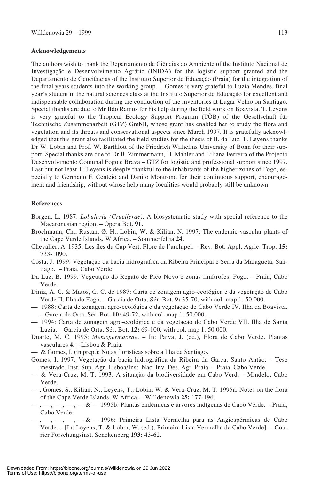## **Acknowledgements**

The authors wish to thank the Departamento de Ciências do Ambiente of the Instituto Nacional de Investigação e Desenvolvimento Agrário (INIDA) for the logistic support granted and the Departamento de Geociências of the Instituto Superior de Educação (Praia) for the integration of the final years students into the working group. I. Gomes is very grateful to Luzia Mendes, final year's student in the natural sciences class at the Instituto Superior de Educação for excellent and indispensable collaboration during the conduction of the inventories at Lugar Velho on Santiago. Special thanks are due to Mr Ildo Ramos for his help during the field work on Boavista. T. Leyens is very grateful to the Tropical Ecology Support Program (TÖB) of the Gesellschaft für Technische Zusammenarbeit (GTZ) GmbH, whose grant has enabled her to study the flora and vegetation and its threats and conservational aspects since March 1997. It is gratefully acknowledged that this grant also facilitated the field studies for the thesis of B. da Luz. T. Leyens thanks Dr W. Lobin and Prof. W. Barthlott of the Friedrich Wilhelms University of Bonn for their support. Special thanks are due to Dr B. Zimmermann, H. Mahler and Liliana Ferreira of the Projecto Desenvolvimento Comunal Fogo e Brava – GTZ for logistic and professional support since 1997. Last but not least T. Leyens is deeply thankful to the inhabitants of the higher zones of Fogo, especially to Germano F. Centeio and Danilo Montrond for their continuous support, encouragement and friendship, without whose help many localities would probably still be unknown.

## **References**

- Borgen, L. 1987: *Lobularia (Cruciferae)*. A biosystematic study with special reference to the Macaronesian region. – Opera Bot. **91.**
- Brochmann, Ch., Rustan, Ø. H., Lobin, W. & Kilian, N. 1997: The endemic vascular plants of the Cape Verde Islands, W Africa. – Sommerfeltia **24.**
- Chevalier, A. 1935: Les îles du Cap Vert. Flore de l'archipel. Rev. Bot. Appl. Agric. Trop. **15:** 733-1090.
- Costa, J. 1999: Vegetação da bacia hidrográfica da Ribeira Principal e Serra da Malagueta, Santiago. – Praia, Cabo Verde.
- Da Luz, B. 1999: Vegetação do Regato de Pico Novo e zonas limítrofes, Fogo. Praia, Cabo Verde.
- Diniz, A. C. & Matos, G. C. de 1987: Carta de zonagem agro-ecológica e da vegetação de Cabo Verde II. Ilha do Fogo. – Garcia de Orta, Sér. Bot. **9:** 35-70, with col. map 1: 50.000.
- 1988: Carta de zonagem agro-ecológica e da vegetação de Cabo Verde IV. Ilha da Boavista. – Garcia de Orta, Sér. Bot. **10:** 49-72, with col. map 1: 50.000.
- 1994: Carta de zonagem agro-ecológica e da vegetação de Cabo Verde VII. Ilha de Santa Luzia. – Garcia de Orta, Sér. Bot. **12:** 69-100, with col. map 1: 50.000.
- Duarte, M. C. 1995: *Menispermaceae*. In: Paiva, J. (ed.), Flora de Cabo Verde. Plantas vasculares **4.** – Lisboa & Praia.
- & Gomes, I. (in prep.): Notas florísticas sobre a Ilha de Santiago.
- Gomes, I. 1997: Vegetação da bacia hidrográfica da Ribeira da Garça, Santo Antão. Tese mestrado. Inst. Sup. Agr. Lisboa/Inst. Nac. Inv. Des. Agr. Praia. – Praia, Cabo Verde.
- & Vera-Cruz, M. T. 1993: A situação da biodiversidade em Cabo Verd. Mindelo, Cabo Verde.
- , Gomes, S., Kilian, N., Leyens, T., Lobin, W. & Vera-Cruz, M. T. 1995a: Notes on the flora of the Cape Verde Islands, W Africa. – Willdenowia **25:** 177-196.
- $-,-,-,-, \&$   $-$  1995b: Plantas endémicas e árvores indígenas de Cabo Verde. Praia, Cabo Verde.
- $-,-,-,-, \&$   $-$  1996: Primeira Lista Vermelha para as Angiospérmicas de Cabo Verde. – [In: Leyens, T. & Lobin, W. (ed.), Primeira Lista Vermelha de Cabo Verde]. – Courier Forschungsinst. Senckenberg **193:** 43-62.